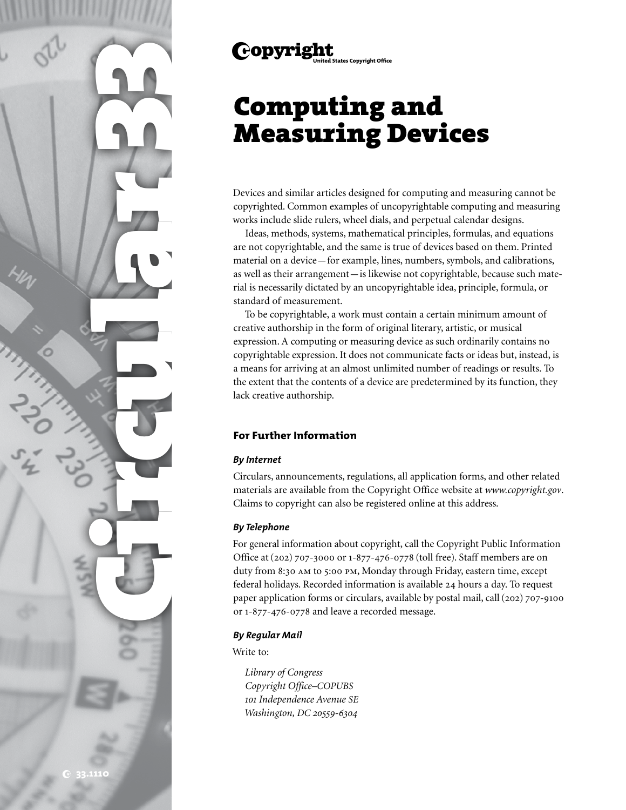

# Computing and Measuring Devices

Devices and similar articles designed for computing and measuring cannot be copyrighted. Common examples of uncopyrightable computing and measuring works include slide rulers, wheel dials, and perpetual calendar designs.

Ideas, methods, systems, mathematical principles, formulas, and equations are not copyrightable, and the same is true of devices based on them. Printed material on a device—for example, lines, numbers, symbols, and calibrations, as well as their arrangement—is likewise not copyrightable, because such material is necessarily dictated by an uncopyrightable idea, principle, formula, or standard of measurement.

To be copyrightable, a work must contain a certain minimum amount of creative authorship in the form of original literary, artistic, or musical expression. A computing or measuring device as such ordinarily contains no copyrightable expression. It does not communicate facts or ideas but, instead, is a means for arriving at an almost unlimited number of readings or results. To the extent that the contents of a device are predetermined by its function, they lack creative authorship.

# **For Further Information**

### *By Internet*

Circulars, announcements, regulations, all application forms, and other related materials are available from the Copyright Office website at *www.copyright.gov*. Claims to copyright can also be registered online at this address.

## *By Telephone*

For general information about copyright, call the Copyright Public Information Office at (202) 707-3000 or 1-877-476-0778 (toll free). Staff members are on duty from 8:30 am to 5:00 pm, Monday through Friday, eastern time, except federal holidays. Recorded information is available 24 hours a day. To request paper application forms or circulars, available by postal mail, call (202) 707-9100 or 1-877-476-0778 and leave a recorded message.

### *By Regular Mail*

Write to:

*Library of Congress Copyright Office–COPUBS 101 Independence Avenue SE Washington, DC 20559-6304*